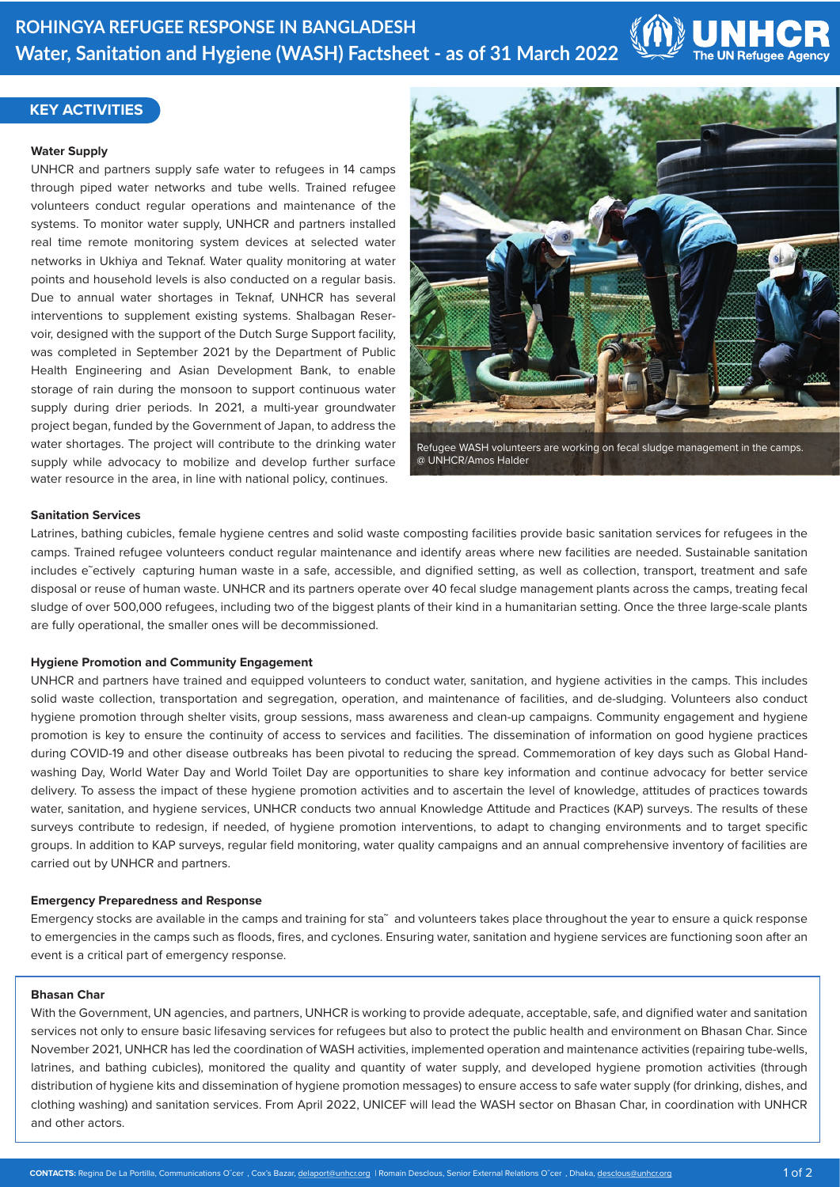

## **KEY ACTIVITIES**

### **Water Supply**

UNHCR and partners supply safe water to refugees in 14 camps through piped water networks and tube wells. Trained refugee volunteers conduct regular operations and maintenance of the systems. To monitor water supply, UNHCR and partners installed real time remote monitoring system devices at selected water networks in Ukhiya and Teknaf. Water quality monitoring at water points and household levels is also conducted on a regular basis. Due to annual water shortages in Teknaf, UNHCR has several interventions to supplement existing systems. Shalbagan Reservoir, designed with the support of the Dutch Surge Support facility, was completed in September 2021 by the Department of Public Health Engineering and Asian Development Bank, to enable storage of rain during the monsoon to support continuous water supply during drier periods. In 2021, a multi-year groundwater project began, funded by the Government of Japan, to address the water shortages. The project will contribute to the drinking water supply while advocacy to mobilize and develop further surface water resource in the area, in line with national policy, continues.



@ UNHCR/Amos Halder

### **Sanitation Services**

Latrines, bathing cubicles, female hygiene centres and solid waste composting facilities provide basic sanitation services for refugees in the camps. Trained refugee volunteers conduct regular maintenance and identify areas where new facilities are needed. Sustainable sanitation includes e˜ectively capturing human waste in a safe, accessible, and dignified setting, as well as collection, transport, treatment and safe disposal or reuse of human waste. UNHCR and its partners operate over 40 fecal sludge management plants across the camps, treating fecal sludge of over 500,000 refugees, including two of the biggest plants of their kind in a humanitarian setting. Once the three large-scale plants are fully operational, the smaller ones will be decommissioned.

## **Hygiene Promotion and Community Engagement**

UNHCR and partners have trained and equipped volunteers to conduct water, sanitation, and hygiene activities in the camps. This includes solid waste collection, transportation and segregation, operation, and maintenance of facilities, and de-sludging. Volunteers also conduct hygiene promotion through shelter visits, group sessions, mass awareness and clean-up campaigns. Community engagement and hygiene promotion is key to ensure the continuity of access to services and facilities. The dissemination of information on good hygiene practices during COVID-19 and other disease outbreaks has been pivotal to reducing the spread. Commemoration of key days such as Global Handwashing Day, World Water Day and World Toilet Day are opportunities to share key information and continue advocacy for better service delivery. To assess the impact of these hygiene promotion activities and to ascertain the level of knowledge, attitudes of practices towards water, sanitation, and hygiene services, UNHCR conducts two annual Knowledge Attitude and Practices (KAP) surveys. The results of these surveys contribute to redesign, if needed, of hygiene promotion interventions, to adapt to changing environments and to target specific groups. In addition to KAP surveys, regular field monitoring, water quality campaigns and an annual comprehensive inventory of facilities are carried out by UNHCR and partners.

## **Emergency Preparedness and Response**

Emergency stocks are available in the camps and training for sta~ and volunteers takes place throughout the year to ensure a quick response to emergencies in the camps such as floods, fires, and cyclones. Ensuring water, sanitation and hygiene services are functioning soon after an event is a critical part of emergency response.

## **Bhasan Char**

With the Government, UN agencies, and partners, UNHCR is working to provide adequate, acceptable, safe, and dignified water and sanitation services not only to ensure basic lifesaving services for refugees but also to protect the public health and environment on Bhasan Char. Since November 2021, UNHCR has led the coordination of WASH activities, implemented operation and maintenance activities (repairing tube-wells, latrines, and bathing cubicles), monitored the quality and quantity of water supply, and developed hygiene promotion activities (through distribution of hygiene kits and dissemination of hygiene promotion messages) to ensure access to safe water supply (for drinking, dishes, and clothing washing) and sanitation services. From April 2022, UNICEF will lead the WASH sector on Bhasan Char, in coordination with UNHCR and other actors.